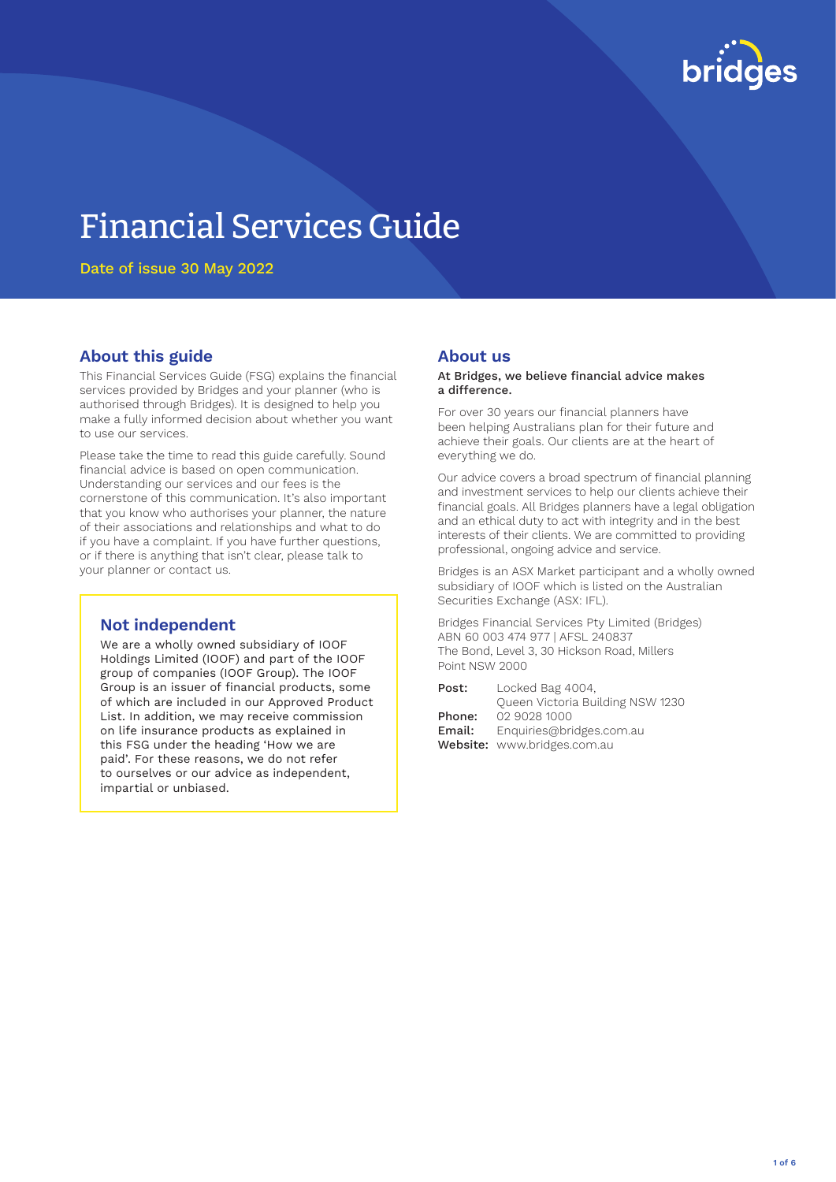

# Financial Services Guide

Date of issue 30 May 2022

## **About this guide**

This Financial Services Guide (FSG) explains the financial services provided by Bridges and your planner (who is authorised through Bridges). It is designed to help you make a fully informed decision about whether you want to use our services.

Please take the time to read this guide carefully. Sound financial advice is based on open communication. Understanding our services and our fees is the cornerstone of this communication. It's also important that you know who authorises your planner, the nature of their associations and relationships and what to do if you have a complaint. If you have further questions, or if there is anything that isn't clear, please talk to your planner or contact us.

## **Not independent**

We are a wholly owned subsidiary of IOOF Holdings Limited (IOOF) and part of the IOOF group of companies (IOOF Group). The IOOF Group is an issuer of financial products, some of which are included in our Approved Product List. In addition, we may receive commission on life insurance products as explained in this FSG under the heading 'How we are paid'. For these reasons, we do not refer to ourselves or our advice as independent, impartial or unbiased.

#### **About us**

#### At Bridges, we believe financial advice makes a difference.

For over 30 years our financial planners have been helping Australians plan for their future and achieve their goals. Our clients are at the heart of everything we do.

Our advice covers a broad spectrum of financial planning and investment services to help our clients achieve their financial goals. All Bridges planners have a legal obligation and an ethical duty to act with integrity and in the best interests of their clients. We are committed to providing professional, ongoing advice and service.

Bridges is an ASX Market participant and a wholly owned subsidiary of IOOF which is listed on the Australian Securities Exchange (ASX: IFL).

Bridges Financial Services Pty Limited (Bridges) ABN 60 003 474 977 | AFSL 240837 The Bond, Level 3, 30 Hickson Road, Millers Point NSW 2000

| Post:  | Locked Bag 4004,                 |
|--------|----------------------------------|
|        | Queen Victoria Building NSW 1230 |
| Phone: | 02 9028 1000                     |
| Email: | Enquiries@bridges.com.au         |
|        | Website: www.bridges.com.au      |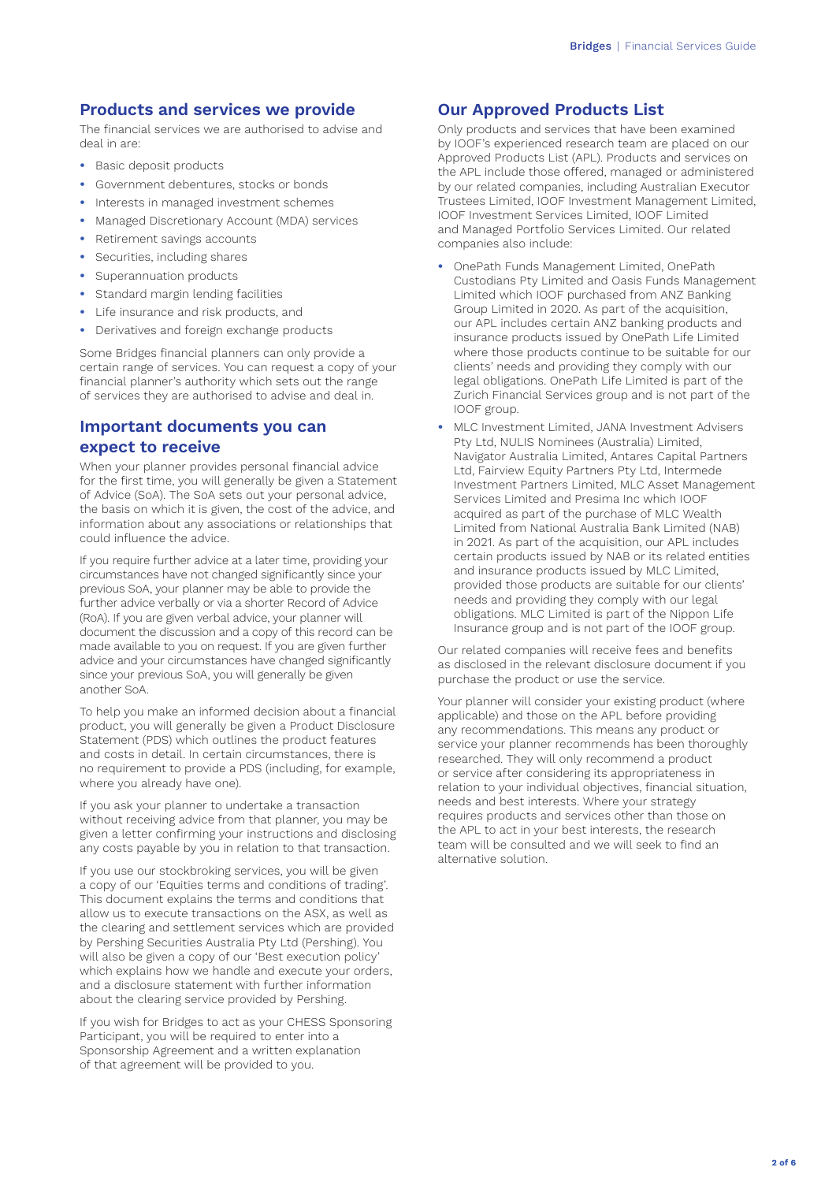## **Products and services we provide**

The financial services we are authorised to advise and deal in are:

- **•** Basic deposit products
- **•** Government debentures, stocks or bonds
- **•** Interests in managed investment schemes
- **•** Managed Discretionary Account (MDA) services
- **•** Retirement savings accounts
- **•** Securities, including shares
- **•** Superannuation products
- **•** Standard margin lending facilities
- **•** Life insurance and risk products, and
- **•** Derivatives and foreign exchange products

Some Bridges financial planners can only provide a certain range of services. You can request a copy of your financial planner's authority which sets out the range of services they are authorised to advise and deal in.

## **Important documents you can expect to receive**

When your planner provides personal financial advice for the first time, you will generally be given a Statement of Advice (SoA). The SoA sets out your personal advice, the basis on which it is given, the cost of the advice, and information about any associations or relationships that could influence the advice.

If you require further advice at a later time, providing your circumstances have not changed significantly since your previous SoA, your planner may be able to provide the further advice verbally or via a shorter Record of Advice (RoA). If you are given verbal advice, your planner will document the discussion and a copy of this record can be made available to you on request. If you are given further advice and your circumstances have changed significantly since your previous SoA, you will generally be given another SoA.

To help you make an informed decision about a financial product, you will generally be given a Product Disclosure Statement (PDS) which outlines the product features and costs in detail. In certain circumstances, there is no requirement to provide a PDS (including, for example, where you already have one).

If you ask your planner to undertake a transaction without receiving advice from that planner, you may be given a letter confirming your instructions and disclosing any costs payable by you in relation to that transaction.

If you use our stockbroking services, you will be given a copy of our 'Equities terms and conditions of trading'. This document explains the terms and conditions that allow us to execute transactions on the ASX, as well as the clearing and settlement services which are provided by Pershing Securities Australia Pty Ltd (Pershing). You will also be given a copy of our 'Best execution policy' which explains how we handle and execute your orders, and a disclosure statement with further information about the clearing service provided by Pershing.

If you wish for Bridges to act as your CHESS Sponsoring Participant, you will be required to enter into a Sponsorship Agreement and a written explanation of that agreement will be provided to you.

## **Our Approved Products List**

Only products and services that have been examined by IOOF's experienced research team are placed on our Approved Products List (APL). Products and services on the APL include those offered, managed or administered by our related companies, including Australian Executor Trustees Limited, IOOF Investment Management Limited, IOOF Investment Services Limited, IOOF Limited and Managed Portfolio Services Limited. Our related companies also include:

- **•** OnePath Funds Management Limited, OnePath Custodians Pty Limited and Oasis Funds Management Limited which IOOF purchased from ANZ Banking Group Limited in 2020. As part of the acquisition, our APL includes certain ANZ banking products and insurance products issued by OnePath Life Limited where those products continue to be suitable for our clients' needs and providing they comply with our legal obligations. OnePath Life Limited is part of the Zurich Financial Services group and is not part of the IOOF group.
- **•** MLC Investment Limited, JANA Investment Advisers Pty Ltd, NULIS Nominees (Australia) Limited, Navigator Australia Limited, Antares Capital Partners Ltd, Fairview Equity Partners Pty Ltd, Intermede Investment Partners Limited, MLC Asset Management Services Limited and Presima Inc which IOOF acquired as part of the purchase of MLC Wealth Limited from National Australia Bank Limited (NAB) in 2021. As part of the acquisition, our APL includes certain products issued by NAB or its related entities and insurance products issued by MLC Limited, provided those products are suitable for our clients' needs and providing they comply with our legal obligations. MLC Limited is part of the Nippon Life Insurance group and is not part of the IOOF group.

Our related companies will receive fees and benefits as disclosed in the relevant disclosure document if you purchase the product or use the service.

Your planner will consider your existing product (where applicable) and those on the APL before providing any recommendations. This means any product or service your planner recommends has been thoroughly researched. They will only recommend a product or service after considering its appropriateness in relation to your individual objectives, financial situation, needs and best interests. Where your strategy requires products and services other than those on the APL to act in your best interests, the research team will be consulted and we will seek to find an alternative solution.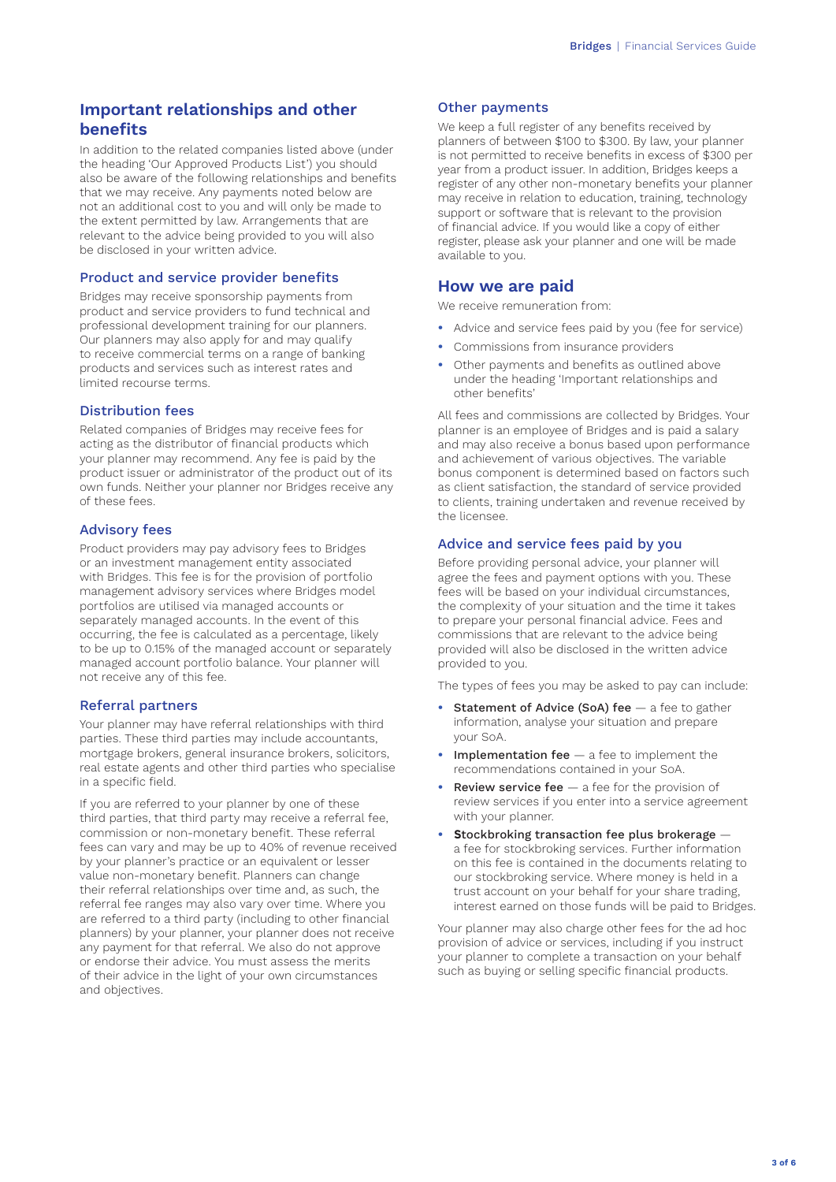## **Important relationships and other benefits**

In addition to the related companies listed above (under the heading 'Our Approved Products List') you should also be aware of the following relationships and benefits that we may receive. Any payments noted below are not an additional cost to you and will only be made to the extent permitted by law. Arrangements that are relevant to the advice being provided to you will also be disclosed in your written advice.

#### Product and service provider benefits

Bridges may receive sponsorship payments from product and service providers to fund technical and professional development training for our planners. Our planners may also apply for and may qualify to receive commercial terms on a range of banking products and services such as interest rates and limited recourse terms.

#### Distribution fees

Related companies of Bridges may receive fees for acting as the distributor of financial products which your planner may recommend. Any fee is paid by the product issuer or administrator of the product out of its own funds. Neither your planner nor Bridges receive any of these fees.

#### Advisory fees

Product providers may pay advisory fees to Bridges or an investment management entity associated with Bridges. This fee is for the provision of portfolio management advisory services where Bridges model portfolios are utilised via managed accounts or separately managed accounts. In the event of this occurring, the fee is calculated as a percentage, likely to be up to 0.15% of the managed account or separately managed account portfolio balance. Your planner will not receive any of this fee.

#### Referral partners

Your planner may have referral relationships with third parties. These third parties may include accountants, mortgage brokers, general insurance brokers, solicitors, real estate agents and other third parties who specialise in a specific field.

If you are referred to your planner by one of these third parties, that third party may receive a referral fee, commission or non-monetary benefit. These referral fees can vary and may be up to 40% of revenue received by your planner's practice or an equivalent or lesser value non-monetary benefit. Planners can change their referral relationships over time and, as such, the referral fee ranges may also vary over time. Where you are referred to a third party (including to other financial planners) by your planner, your planner does not receive any payment for that referral. We also do not approve or endorse their advice. You must assess the merits of their advice in the light of your own circumstances and objectives.

#### Other payments

We keep a full register of any benefits received by planners of between \$100 to \$300. By law, your planner is not permitted to receive benefits in excess of \$300 per year from a product issuer. In addition, Bridges keeps a register of any other non-monetary benefits your planner may receive in relation to education, training, technology support or software that is relevant to the provision of financial advice. If you would like a copy of either register, please ask your planner and one will be made available to you.

## **How we are paid**

We receive remuneration from:

- **•** Advice and service fees paid by you (fee for service)
- **•** Commissions from insurance providers
- **•** Other payments and benefits as outlined above under the heading 'Important relationships and other benefits'

All fees and commissions are collected by Bridges. Your planner is an employee of Bridges and is paid a salary and may also receive a bonus based upon performance and achievement of various objectives. The variable bonus component is determined based on factors such as client satisfaction, the standard of service provided to clients, training undertaken and revenue received by the licensee.

#### Advice and service fees paid by you

Before providing personal advice, your planner will agree the fees and payment options with you. These fees will be based on your individual circumstances, the complexity of your situation and the time it takes to prepare your personal financial advice. Fees and commissions that are relevant to the advice being provided will also be disclosed in the written advice provided to you.

The types of fees you may be asked to pay can include:

- **Statement of Advice (SoA) fee a fee to gather** information, analyse your situation and prepare your SoA.
- **Implementation fee** a fee to implement the recommendations contained in your SoA.
- **Review service fee** a fee for the provision of review services if you enter into a service agreement with your planner.
- **• S**tockbroking transaction fee plus brokerage a fee for stockbroking services. Further information on this fee is contained in the documents relating to our stockbroking service. Where money is held in a trust account on your behalf for your share trading, interest earned on those funds will be paid to Bridges.

Your planner may also charge other fees for the ad hoc provision of advice or services, including if you instruct your planner to complete a transaction on your behalf such as buying or selling specific financial products.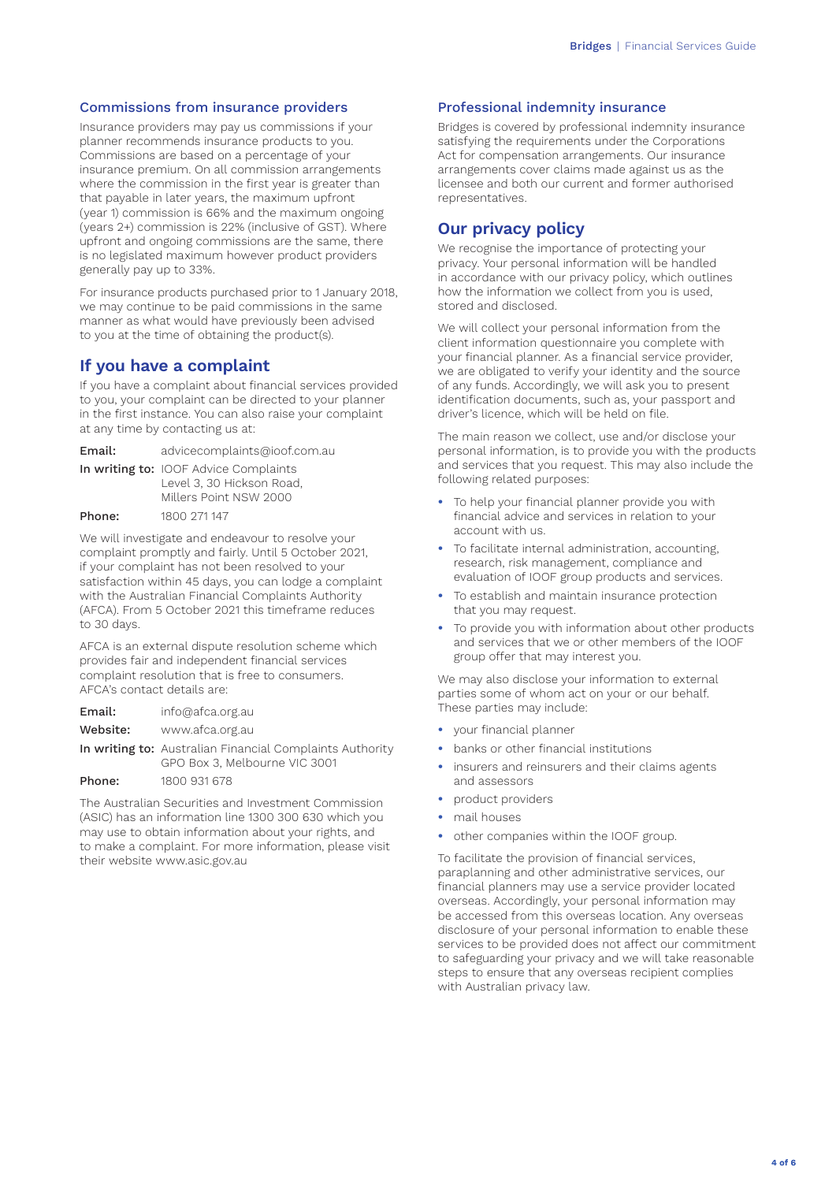#### Commissions from insurance providers

Insurance providers may pay us commissions if your planner recommends insurance products to you. Commissions are based on a percentage of your insurance premium. On all commission arrangements where the commission in the first year is greater than that payable in later years, the maximum upfront (year 1) commission is 66% and the maximum ongoing (years 2+) commission is 22% (inclusive of GST). Where upfront and ongoing commissions are the same, there is no legislated maximum however product providers generally pay up to 33%.

For insurance products purchased prior to 1 January 2018, we may continue to be paid commissions in the same manner as what would have previously been advised to you at the time of obtaining the product(s).

## **If you have a complaint**

If you have a complaint about financial services provided to you, your complaint can be directed to your planner in the first instance. You can also raise your complaint at any time by contacting us at:

| Email: | advicecomplaints@ioof.com.au          |
|--------|---------------------------------------|
|        | In writing to: IOOF Advice Complaints |

|        | Level 3, 30 Hickson Road,<br>Millers Point NSW 2000 |  |
|--------|-----------------------------------------------------|--|
| Phone: | 1800 271 147                                        |  |

We will investigate and endeavour to resolve your complaint promptly and fairly. Until 5 October 2021, if your complaint has not been resolved to your satisfaction within 45 days, you can lodge a complaint with the Australian Financial Complaints Authority (AFCA). From 5 October 2021 this timeframe reduces to 30 days.

AFCA is an external dispute resolution scheme which provides fair and independent financial services complaint resolution that is free to consumers. AFCA's contact details are:

| Email:   | info@afca.org.au                                                                                 |
|----------|--------------------------------------------------------------------------------------------------|
| Website: | www.afca.org.au                                                                                  |
|          | <b>In writing to:</b> Australian Financial Complaints Authority<br>GPO Box 3, Melbourne VIC 3001 |
| Phone:   | 1800 931 678                                                                                     |

The Australian Securities and Investment Commission (ASIC) has an information line 1300 300 630 which you may use to obtain information about your rights, and to make a complaint. For more information, please visit their website www.asic.gov.au

#### Professional indemnity insurance

Bridges is covered by professional indemnity insurance satisfying the requirements under the Corporations Act for compensation arrangements. Our insurance arrangements cover claims made against us as the licensee and both our current and former authorised representatives.

## **Our privacy policy**

We recognise the importance of protecting your privacy. Your personal information will be handled in accordance with our privacy policy, which outlines how the information we collect from you is used, stored and disclosed.

We will collect your personal information from the client information questionnaire you complete with your financial planner. As a financial service provider, we are obligated to verify your identity and the source of any funds. Accordingly, we will ask you to present identification documents, such as, your passport and driver's licence, which will be held on file.

The main reason we collect, use and/or disclose your personal information, is to provide you with the products and services that you request. This may also include the following related purposes:

- **•** To help your financial planner provide you with financial advice and services in relation to your account with us.
- **•** To facilitate internal administration, accounting, research, risk management, compliance and evaluation of IOOF group products and services.
- **•** To establish and maintain insurance protection that you may request.
- **•** To provide you with information about other products and services that we or other members of the IOOF group offer that may interest you.

We may also disclose your information to external parties some of whom act on your or our behalf. These parties may include:

- **•** your financial planner
- **•** banks or other financial institutions
- **•** insurers and reinsurers and their claims agents and assessors
- **•** product providers
- **•** mail houses
- **•** other companies within the IOOF group.

To facilitate the provision of financial services, paraplanning and other administrative services, our financial planners may use a service provider located overseas. Accordingly, your personal information may be accessed from this overseas location. Any overseas disclosure of your personal information to enable these services to be provided does not affect our commitment to safeguarding your privacy and we will take reasonable steps to ensure that any overseas recipient complies with Australian privacy law.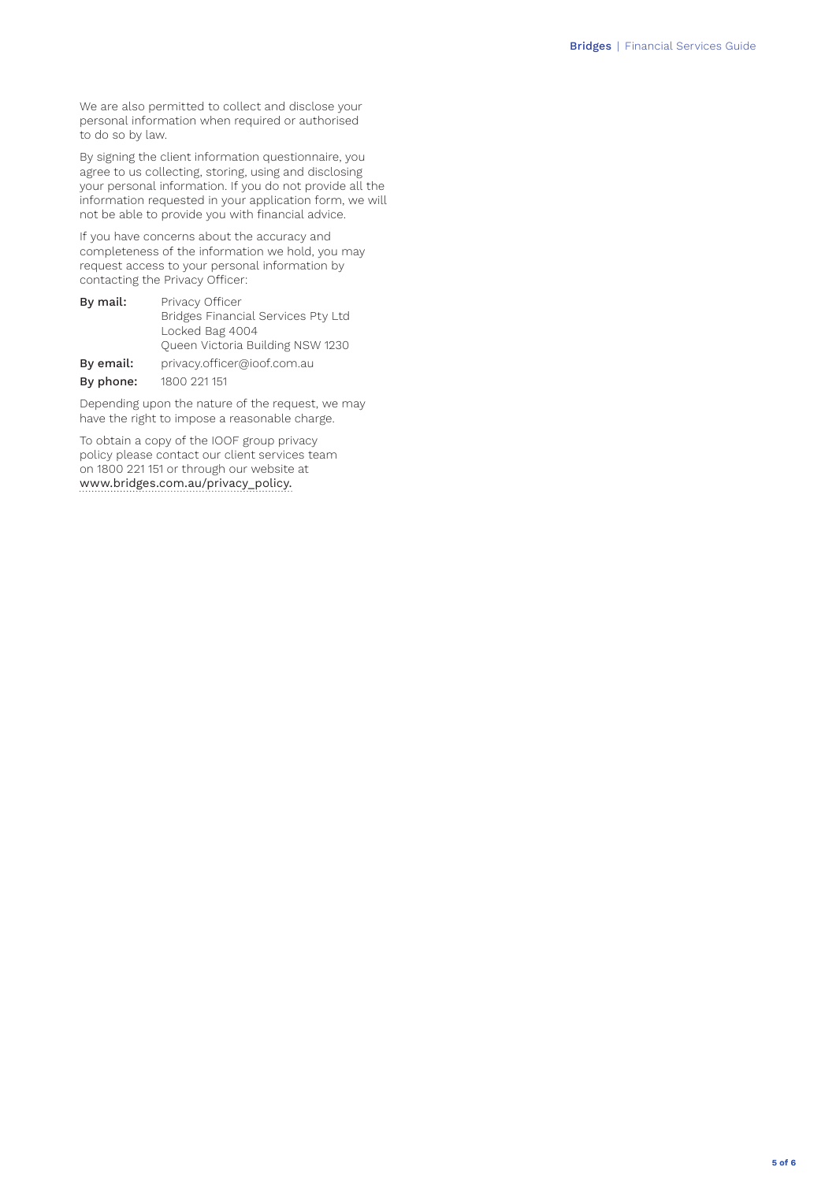We are also permitted to collect and disclose your personal information when required or authorised to do so by law.

By signing the client information questionnaire, you agree to us collecting, storing, using and disclosing your personal information. If you do not provide all the information requested in your application form, we will not be able to provide you with financial advice.

If you have concerns about the accuracy and completeness of the information we hold, you may request access to your personal information by contacting the Privacy Officer:

| By mail:  | Privacy Officer                    |
|-----------|------------------------------------|
|           | Bridges Financial Services Pty Ltd |
|           | Locked Bag 4004                    |
|           | Queen Victoria Building NSW 1230   |
| By email: | privacy.officer@ioof.com.au        |
| By phone: | 1800 221 151                       |

Depending upon the nature of the request, we may have the right to impose a reasonable charge.

To obtain a copy of the IOOF group privacy policy please contact our client services team on 1800 221 151 or through our website at [www.bridges.com.au/privacy\\_policy.](www.bridges.com.au/privacy_policy)